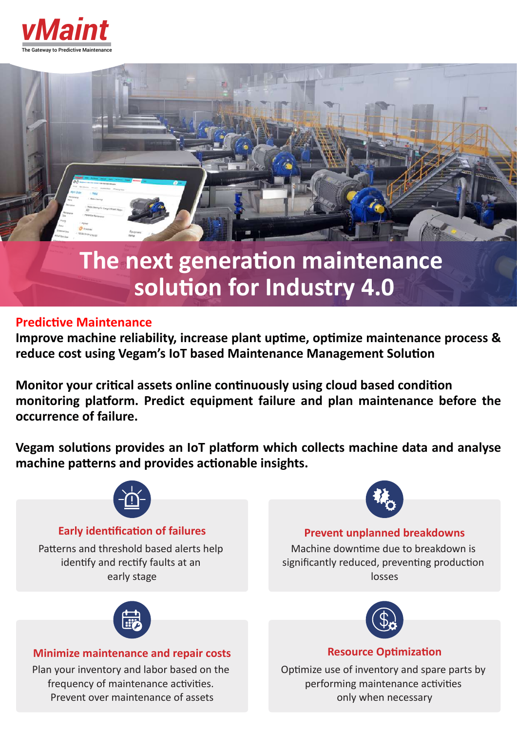



# **The next generation maintenance solution for Industry 4.0**

# **Predictive Maintenance**

Improve machine reliability, increase plant uptime, optimize maintenance process & reduce cost using Vegam's IoT based Maintenance Management Solution

**Monitor your critical assets online continuously using cloud based condition** monitoring platform. Predict equipment failure and plan maintenance before the **occurrence of failure.**

**Vegam solutions provides an IoT platform which collects machine data and analyse** machine patterns and provides actionable insights.



# **Early identification of failures**

Patterns and threshold based alerts help identify and rectify faults at an early stage



# **Prevent unplanned breakdowns**

Machine downtime due to breakdown is significantly reduced, preventing production losses



# **Minimize maintenance and repair costs**

Plan your inventory and labor based on the frequency of maintenance activities. Prevent over maintenance of assets



# **Resource Optimization**

Optimize use of inventory and spare parts by performing maintenance activities only when necessary